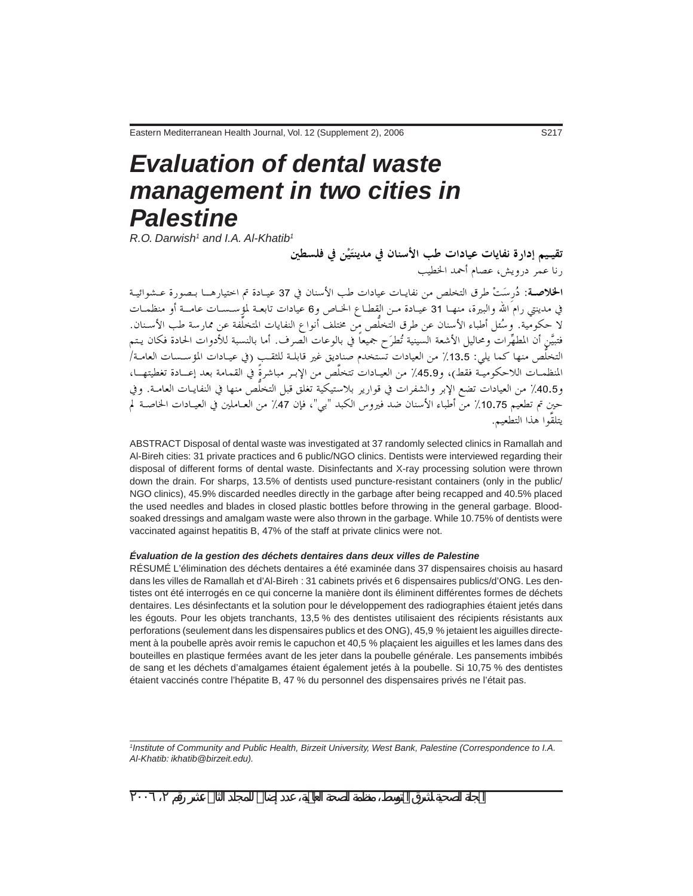# *Evaluation of dental waste management in two cities in Palestine*

 $R$ .O. Darwish<sup>1</sup> and I.A. Al-Khatib<sup>1</sup>

تقيـيم إدارة نفايات عيادات طب الأسنان في مدينتَيْن في فلسطين , نا عـمر د<sub>ر</sub>ويش، عصام أحمد الخطيب

ا**لخلاصة**: دُرسَتْ طرق التخلص من نفايـات عيادات طب الأسنان في 37 عيـادة تم اختيارهــا بـصورة عـشوائيـة في مدينتي رام<sup>َ</sup> الله والبيرة، منهـا 31 عيـادة مـن القطـاع الخـاص و6 عيادات تابعـة لمؤِسـسـات عامــة أو منظمـات لا حكومية. وسُئل أطباء الأسنان عن طرق التّخلُّص من مختلف أنواع النفايات المتخلَّفة عن ممارسة طب الأسـنان. فتبيَّنِ أن المطهِّراتُ ومحاليل الأشعة السينية تُطرَح جميعاً في بالوعات الصرف. أما بالنسبة للأدوات الحادة فكان يـتم التخلُّص منها كما يلي: 13.5٪ من العيادات تستخدم صناديق غير قابلـة للثقـب (في عيـادات المؤسـسات العامـة/ المنظمـات اللاحكوميـة فقط)، و45.9٪ من العيـادات تتخلَّص من الإبـر مباشرةً في القمامة بعد إعــادة تغطيتهــا، و40.5٪ من العيادات تضع الإبر والشفرات في قوارير بلاستيكية تغلق قبل التخلُّصُ منها في النفايـات العامــة. وفي حين تم تطعيم 10.75٪ منّ أطباء الأسنان ضد فيروس الكبد "بي"، فإن 47٪ من العـاملين في العيــادات الحـاصــة لم يتلقوا هذا التطعيم.

ABSTRACT Disposal of dental waste was investigated at 37 randomly selected clinics in Ramallah and Al-Bireh cities: 31 private practices and 6 public/NGO clinics. Dentists were interviewed regarding their disposal of different forms of dental waste. Disinfectants and X-ray processing solution were thrown down the drain. For sharps, 13.5% of dentists used puncture-resistant containers (only in the public/ NGO clinics), 45.9% discarded needles directly in the garbage after being recapped and 40.5% placed the used needles and blades in closed plastic bottles before throwing in the general garbage. Bloodsoaked dressings and amalgam waste were also thrown in the garbage. While 10.75% of dentists were vaccinated against hepatitis B, 47% of the staff at private clinics were not.

### *Évaluation de la gestion des déchets dentaires dans deux villes de Palestine*

RÉSUMÉ L'élimination des déchets dentaires a été examinée dans 37 dispensaires choisis au hasard dans les villes de Ramallah et d'Al-Bireh : 31 cabinets privés et 6 dispensaires publics/d'ONG. Les dentistes ont été interrogés en ce qui concerne la manière dont ils éliminent différentes formes de déchets dentaires. Les désinfectants et la solution pour le développement des radiographies étaient jetés dans les égouts. Pour les objets tranchants, 13,5 % des dentistes utilisaient des récipients résistants aux perforations (seulement dans les dispensaires publics et des ONG), 45,9 % jetaient les aiguilles directement à la poubelle après avoir remis le capuchon et 40,5 % plaçaient les aiguilles et les lames dans des bouteilles en plastique fermées avant de les jeter dans la poubelle générale. Les pansements imbibés de sang et les déchets d'amalgames étaient également jetés à la poubelle. Si 10,75 % des dentistes étaient vaccinés contre l'hépatite B, 47 % du personnel des dispensaires privés ne l'était pas.

*1 Institute of Community and Public Health, Birzeit University, West Bank, Palestine (Correspondence to I.A. Al-Khatib: ikhatib@birzeit.edu).*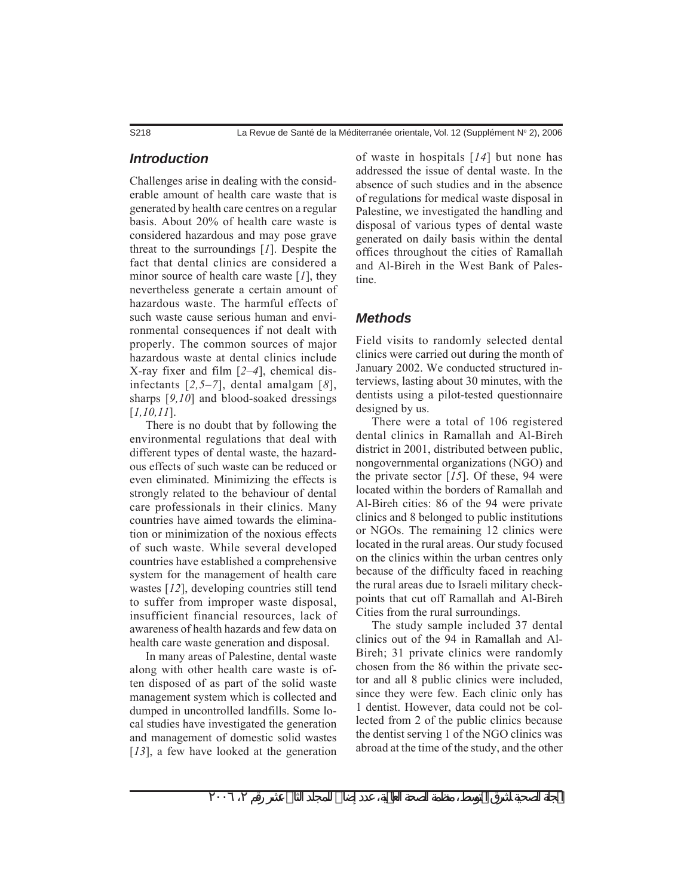S218 (Supplément N° 2), 2006 La Revue de Santé de la Méditerranée orientale, Vol. 12 (Supplément N° 2), 2006

### *Introduction*

Challenges arise in dealing with the considerable amount of health care waste that is generated by health care centres on a regular basis. About 20% of health care waste is considered hazardous and may pose grave threat to the surroundings [*1*]. Despite the fact that dental clinics are considered a minor source of health care waste [*1*], they nevertheless generate a certain amount of hazardous waste. The harmful effects of such waste cause serious human and environmental consequences if not dealt with properly. The common sources of major hazardous waste at dental clinics include X-ray fixer and film [*2–4*], chemical disinfectants [*2,5–7*], dental amalgam [*8*], sharps [*9,10*] and blood-soaked dressings [*1,10,11*].

There is no doubt that by following the environmental regulations that deal with different types of dental waste, the hazardous effects of such waste can be reduced or even eliminated. Minimizing the effects is strongly related to the behaviour of dental care professionals in their clinics. Many countries have aimed towards the elimination or minimization of the noxious effects of such waste. While several developed countries have established a comprehensive system for the management of health care wastes [*12*], developing countries still tend to suffer from improper waste disposal, insufficient financial resources, lack of awareness of health hazards and few data on health care waste generation and disposal.

In many areas of Palestine, dental waste along with other health care waste is often disposed of as part of the solid waste management system which is collected and dumped in uncontrolled landfills. Some local studies have investigated the generation and management of domestic solid wastes [13], a few have looked at the generation of waste in hospitals [*14*] but none has addressed the issue of dental waste. In the absence of such studies and in the absence of regulations for medical waste disposal in Palestine, we investigated the handling and disposal of various types of dental waste generated on daily basis within the dental offices throughout the cities of Ramallah and Al-Bireh in the West Bank of Palestine.

### *Methods*

Field visits to randomly selected dental clinics were carried out during the month of January 2002. We conducted structured interviews, lasting about 30 minutes, with the dentists using a pilot-tested questionnaire designed by us.

There were a total of 106 registered dental clinics in Ramallah and Al-Bireh district in 2001, distributed between public, nongovernmental organizations (NGO) and the private sector [*15*]. Of these, 94 were located within the borders of Ramallah and Al-Bireh cities: 86 of the 94 were private clinics and 8 belonged to public institutions or NGOs. The remaining 12 clinics were located in the rural areas. Our study focused on the clinics within the urban centres only because of the difficulty faced in reaching the rural areas due to Israeli military checkpoints that cut off Ramallah and Al-Bireh Cities from the rural surroundings.

The study sample included 37 dental clinics out of the 94 in Ramallah and Al-Bireh; 31 private clinics were randomly chosen from the 86 within the private sector and all 8 public clinics were included, since they were few. Each clinic only has 1 dentist. However, data could not be collected from 2 of the public clinics because the dentist serving 1 of the NGO clinics was abroad at the time of the study, and the other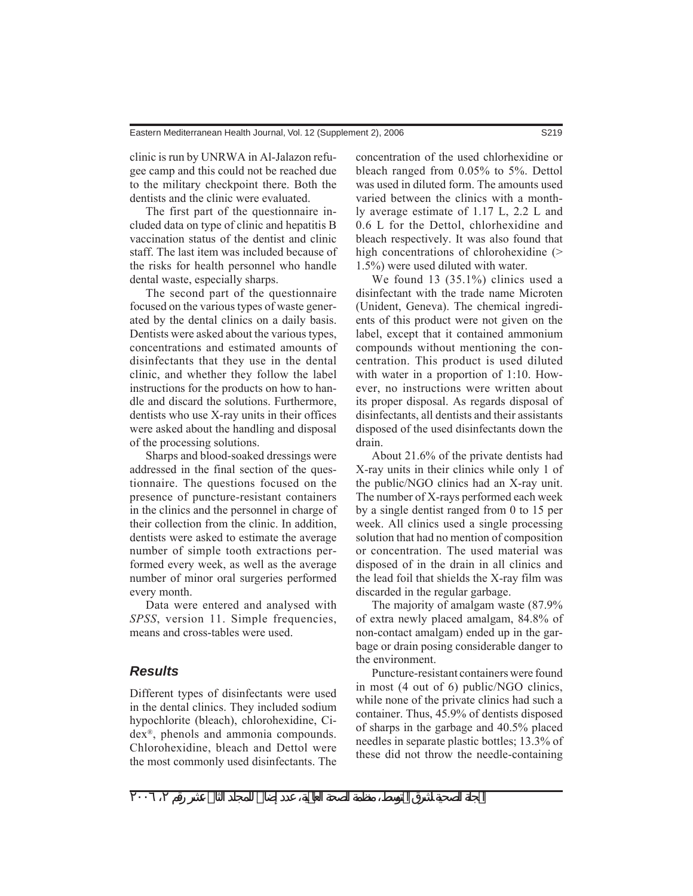clinic is run by UNRWA in Al-Jalazon refugee camp and this could not be reached due to the military checkpoint there. Both the dentists and the clinic were evaluated.

The first part of the questionnaire included data on type of clinic and hepatitis B vaccination status of the dentist and clinic staff. The last item was included because of the risks for health personnel who handle dental waste, especially sharps.

The second part of the questionnaire focused on the various types of waste generated by the dental clinics on a daily basis. Dentists were asked about the various types, concentrations and estimated amounts of disinfectants that they use in the dental clinic, and whether they follow the label instructions for the products on how to handle and discard the solutions. Furthermore, dentists who use X-ray units in their offices were asked about the handling and disposal of the processing solutions.

Sharps and blood-soaked dressings were addressed in the final section of the questionnaire. The questions focused on the presence of puncture-resistant containers in the clinics and the personnel in charge of their collection from the clinic. In addition, dentists were asked to estimate the average number of simple tooth extractions performed every week, as well as the average number of minor oral surgeries performed every month.

Data were entered and analysed with *SPSS*, version 11. Simple frequencies, means and cross-tables were used.

## *Results*

Different types of disinfectants were used in the dental clinics. They included sodium hypochlorite (bleach), chlorohexidine, Cidex®, phenols and ammonia compounds. Chlorohexidine, bleach and Dettol were the most commonly used disinfectants. The concentration of the used chlorhexidine or bleach ranged from 0.05% to 5%. Dettol was used in diluted form. The amounts used varied between the clinics with a monthly average estimate of 1.17 L, 2.2 L and 0.6 L for the Dettol, chlorhexidine and bleach respectively. It was also found that high concentrations of chlorohexidine (> 1.5%) were used diluted with water.

We found 13 (35.1%) clinics used a disinfectant with the trade name Microten (Unident, Geneva). The chemical ingredients of this product were not given on the label, except that it contained ammonium compounds without mentioning the concentration. This product is used diluted with water in a proportion of 1:10. However, no instructions were written about its proper disposal. As regards disposal of disinfectants, all dentists and their assistants disposed of the used disinfectants down the drain.

About 21.6% of the private dentists had X-ray units in their clinics while only 1 of the public/NGO clinics had an X-ray unit. The number of X-rays performed each week by a single dentist ranged from 0 to 15 per week. All clinics used a single processing solution that had no mention of composition or concentration. The used material was disposed of in the drain in all clinics and the lead foil that shields the X-ray film was discarded in the regular garbage.

The majority of amalgam waste (87.9% of extra newly placed amalgam, 84.8% of non-contact amalgam) ended up in the garbage or drain posing considerable danger to the environment.

Puncture-resistant containers were found in most (4 out of 6) public/NGO clinics, while none of the private clinics had such a container. Thus, 45.9% of dentists disposed of sharps in the garbage and 40.5% placed needles in separate plastic bottles; 13.3% of these did not throw the needle-containing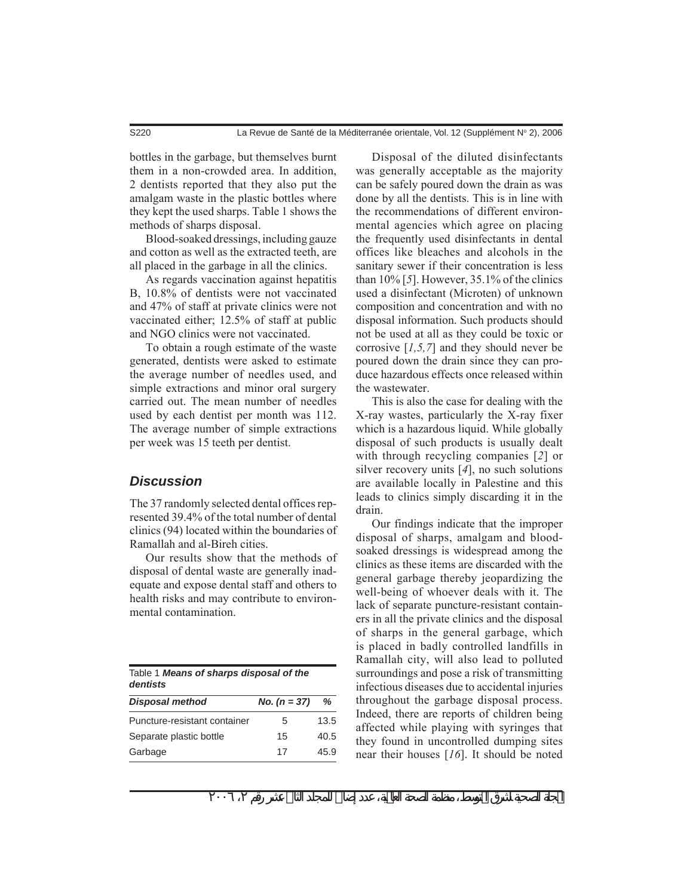bottles in the garbage, but themselves burnt them in a non-crowded area. In addition, 2 dentists reported that they also put the amalgam waste in the plastic bottles where they kept the used sharps. Table 1 shows the methods of sharps disposal.

Blood-soaked dressings, including gauze and cotton as well as the extracted teeth, are all placed in the garbage in all the clinics.

As regards vaccination against hepatitis B, 10.8% of dentists were not vaccinated and 47% of staff at private clinics were not vaccinated either; 12.5% of staff at public and NGO clinics were not vaccinated.

To obtain a rough estimate of the waste generated, dentists were asked to estimate the average number of needles used, and simple extractions and minor oral surgery carried out. The mean number of needles used by each dentist per month was 112. The average number of simple extractions per week was 15 teeth per dentist.

# *Discussion*

The 37 randomly selected dental offices represented 39.4% of the total number of dental clinics (94) located within the boundaries of Ramallah and al-Bireh cities.

Our results show that the methods of disposal of dental waste are generally inadequate and expose dental staff and others to health risks and may contribute to environmental contamination.

| Table 1 Means of sharps disposal of the<br>dentists |                |      |
|-----------------------------------------------------|----------------|------|
| <b>Disposal method</b>                              | No. $(n = 37)$ | ℅    |
| Puncture-resistant container                        | 5              | 13.5 |
| Separate plastic bottle                             | 15             | 40.5 |
| Garbage                                             | 17             | 45.9 |

Disposal of the diluted disinfectants was generally acceptable as the majority can be safely poured down the drain as was done by all the dentists. This is in line with the recommendations of different environmental agencies which agree on placing the frequently used disinfectants in dental offices like bleaches and alcohols in the sanitary sewer if their concentration is less than 10% [*5*]. However, 35.1% of the clinics used a disinfectant (Microten) of unknown composition and concentration and with no disposal information. Such products should not be used at all as they could be toxic or corrosive [*1,5,7*] and they should never be poured down the drain since they can produce hazardous effects once released within the wastewater.

This is also the case for dealing with the X-ray wastes, particularly the X-ray fixer which is a hazardous liquid. While globally disposal of such products is usually dealt with through recycling companies [*2*] or silver recovery units [*4*], no such solutions are available locally in Palestine and this leads to clinics simply discarding it in the drain.

Our findings indicate that the improper disposal of sharps, amalgam and bloodsoaked dressings is widespread among the clinics as these items are discarded with the general garbage thereby jeopardizing the well-being of whoever deals with it. The lack of separate puncture-resistant containers in all the private clinics and the disposal of sharps in the general garbage, which is placed in badly controlled landfills in Ramallah city, will also lead to polluted surroundings and pose a risk of transmitting infectious diseases due to accidental injuries throughout the garbage disposal process. Indeed, there are reports of children being affected while playing with syringes that they found in uncontrolled dumping sites near their houses [*16*]. It should be noted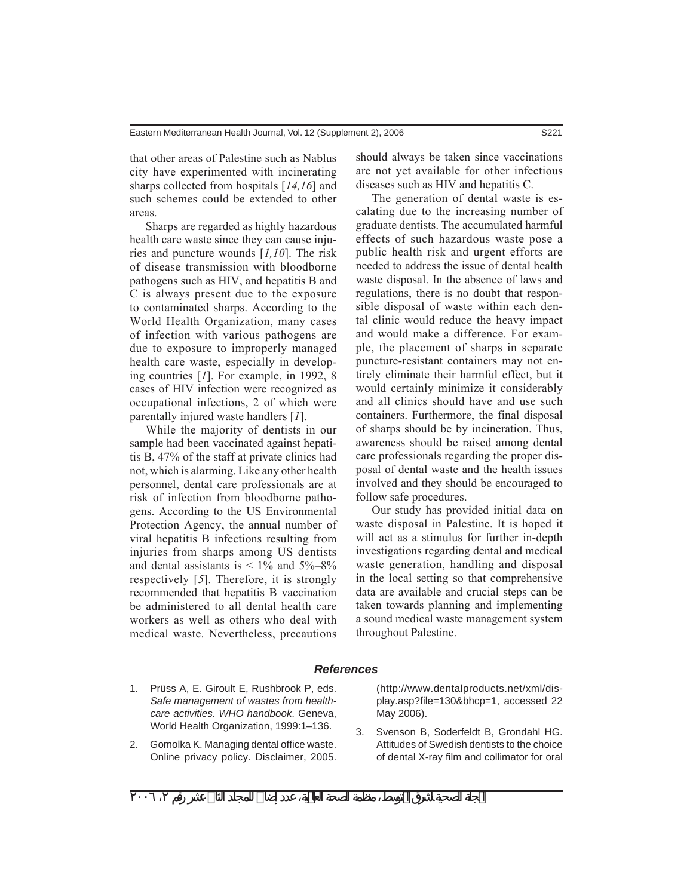that other areas of Palestine such as Nablus city have experimented with incinerating sharps collected from hospitals [*14,16*] and such schemes could be extended to other areas.

Sharps are regarded as highly hazardous health care waste since they can cause injuries and puncture wounds [*1,10*]. The risk of disease transmission with bloodborne pathogens such as HIV, and hepatitis B and C is always present due to the exposure to contaminated sharps. According to the World Health Organization, many cases of infection with various pathogens are due to exposure to improperly managed health care waste, especially in developing countries [*1*]. For example, in 1992, 8 cases of HIV infection were recognized as occupational infections, 2 of which were parentally injured waste handlers [*1*].

While the majority of dentists in our sample had been vaccinated against hepatitis B, 47% of the staff at private clinics had not, which is alarming. Like any other health personnel, dental care professionals are at risk of infection from bloodborne pathogens. According to the US Environmental Protection Agency, the annual number of viral hepatitis B infections resulting from injuries from sharps among US dentists and dental assistants is  $< 1\%$  and  $5\% - 8\%$ respectively [*5*]. Therefore, it is strongly recommended that hepatitis B vaccination be administered to all dental health care workers as well as others who deal with medical waste. Nevertheless, precautions

should always be taken since vaccinations are not yet available for other infectious diseases such as HIV and hepatitis C.

The generation of dental waste is escalating due to the increasing number of graduate dentists. The accumulated harmful effects of such hazardous waste pose a public health risk and urgent efforts are needed to address the issue of dental health waste disposal. In the absence of laws and regulations, there is no doubt that responsible disposal of waste within each dental clinic would reduce the heavy impact and would make a difference. For example, the placement of sharps in separate puncture-resistant containers may not entirely eliminate their harmful effect, but it would certainly minimize it considerably and all clinics should have and use such containers. Furthermore, the final disposal of sharps should be by incineration. Thus, awareness should be raised among dental care professionals regarding the proper disposal of dental waste and the health issues involved and they should be encouraged to follow safe procedures.

Our study has provided initial data on waste disposal in Palestine. It is hoped it will act as a stimulus for further in-depth investigations regarding dental and medical waste generation, handling and disposal in the local setting so that comprehensive data are available and crucial steps can be taken towards planning and implementing a sound medical waste management system throughout Palestine.

### *References*

- 1. Prüss A, E. Giroult E, Rushbrook P, eds. *Safe management of wastes from healthcare activities*. *WHO handbook*. Geneva, World Health Organization, 1999:1–136.
- 2. Gomolka K. Managing dental office waste. Online privacy policy. Disclaimer, 2005.

(http://www.dentalproducts.net/xml/display.asp?file=130&bhcp=1, accessed 22 May 2006).

3. Svenson B, Soderfeldt B, Grondahl HG. Attitudes of Swedish dentists to the choice of dental X-ray film and collimator for oral